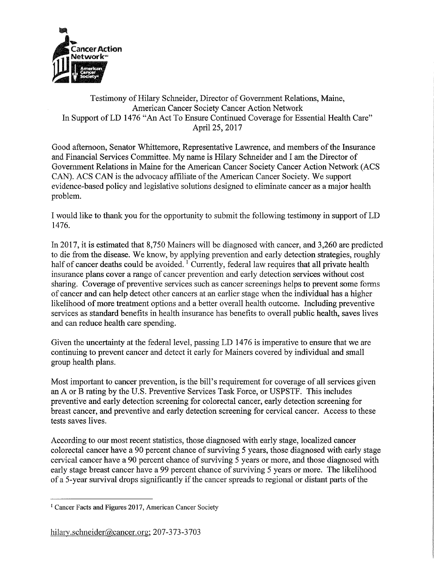

## Testimony of Hilary Schneider, Director of Government Relations, Maine, American Cancer Society Cancer Action Network In Support of LD 1476 "An Act To Ensure Continued Coverage for Essential Health Care" April 25, 2017

Good afternoon, Senator Whittemore, Representative Lawrence, and members of the Insurance and Financial Services Committee. My name is Hilary Schneider and I am the Director of Government Relations in Maine for the American Cancer Society Cancer Action Network (ACS CAN). ACS CAN is the advocacy affiliate of the American Cancer Society. We support evidence-based policy and legislative solutions designed to eliminate cancer as a major health problem.

I would like to thank you for the opportunity to submit the following testimony in support of LD <sup>1</sup>476.

In 2017, it is estimated that 8,750 Mainers will be diagnosed with cancer, and 3,260 are predicted to die from the disease. We know, by applying prevention and early detection strategies, roughly half of cancer deaths could be avoided. Turrently, federal law requires that all private health insurance plans cover a range of cancer prevention and early detection services without cost sharing. Coverage of preventive services such as cancer screenings helps to prevent some forms of cancer and can help detect other cancers at an earlier stage when the individual has a higher likelihood of more treatment options and a better overall health outcome. Including preventive services as standard benefits in health insurance has benefits to overall public health, saves lives and can reduce health care spending.

Given the uncertainty at the federal level, passing LD 1476 is imperative to ensure that we are continuing to prevent cancer and detect it early for Mainers covered by individual and small group health plans.

Most important to cancer prevention, is the bill's requirement for coverage of all services given an A or B rating by the U.S. Preventive Services Task Force, or USPSTF. This includes preventive and early detection screening for colorectal cancer, early detection screening for breast cancer, and preventive and early detection screening for cervical cancer. Access to these tests saves lives.

According to our most recent statistics, those diagnosed with early stage, localized cancer colorectal cancer have a 90 percent chance of surviving 5 years, those diagnosed with early stage cervical cancer have a 90 percent chance of surviving 5 years or more, and those diagnosed with early stage breast cancer have a 99 percent chance of surviving 5 years or more. The likelihood of a 5-year survival drops significantly if the cancer spreads to regional or distant parts of the

<sup>&</sup>lt;sup>1</sup> Cancer Facts and Figures 2017, American Cancer Society